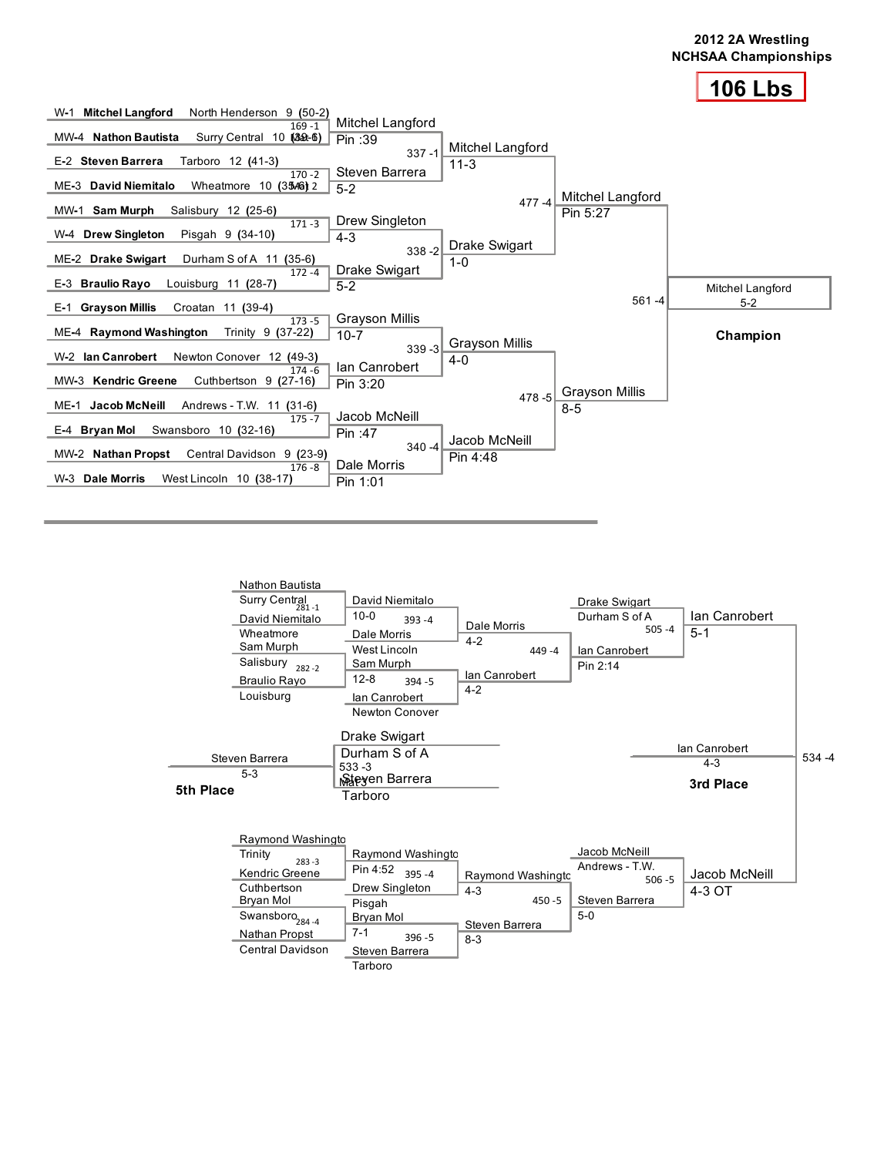



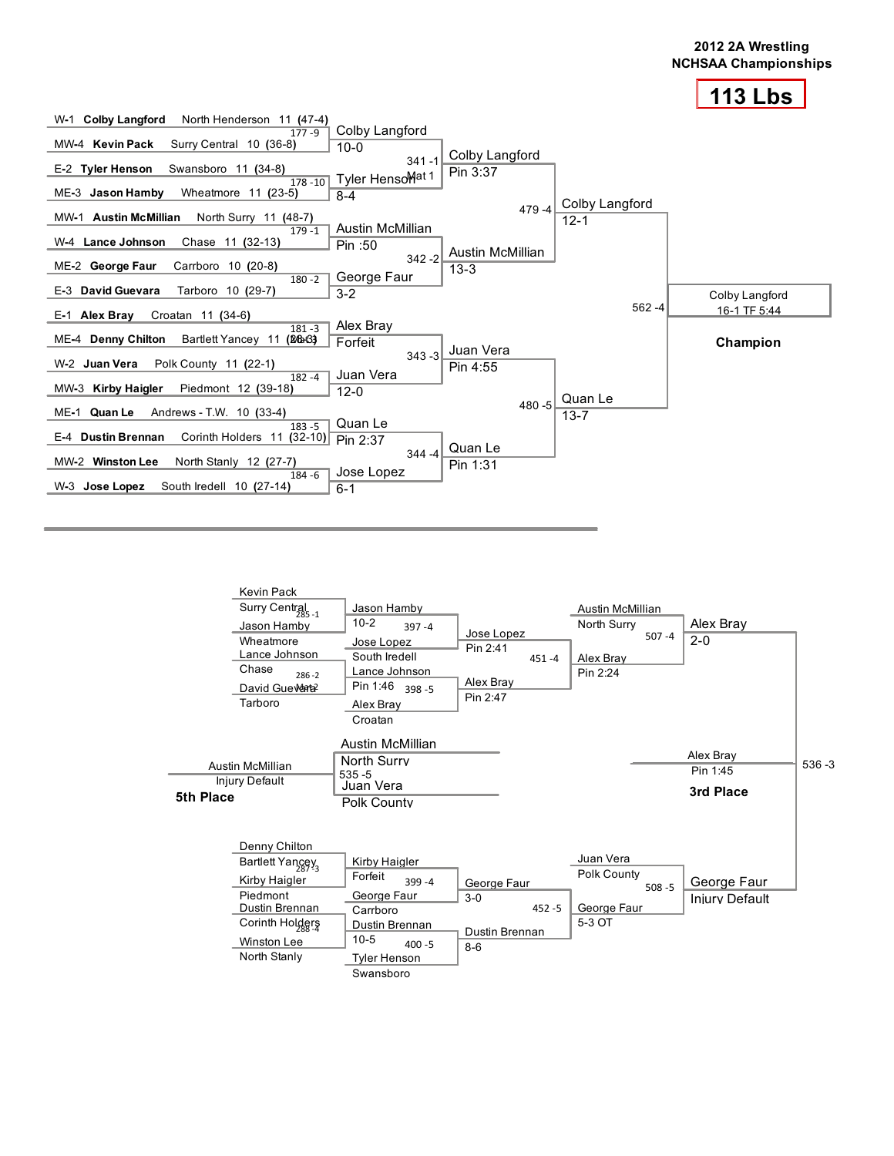



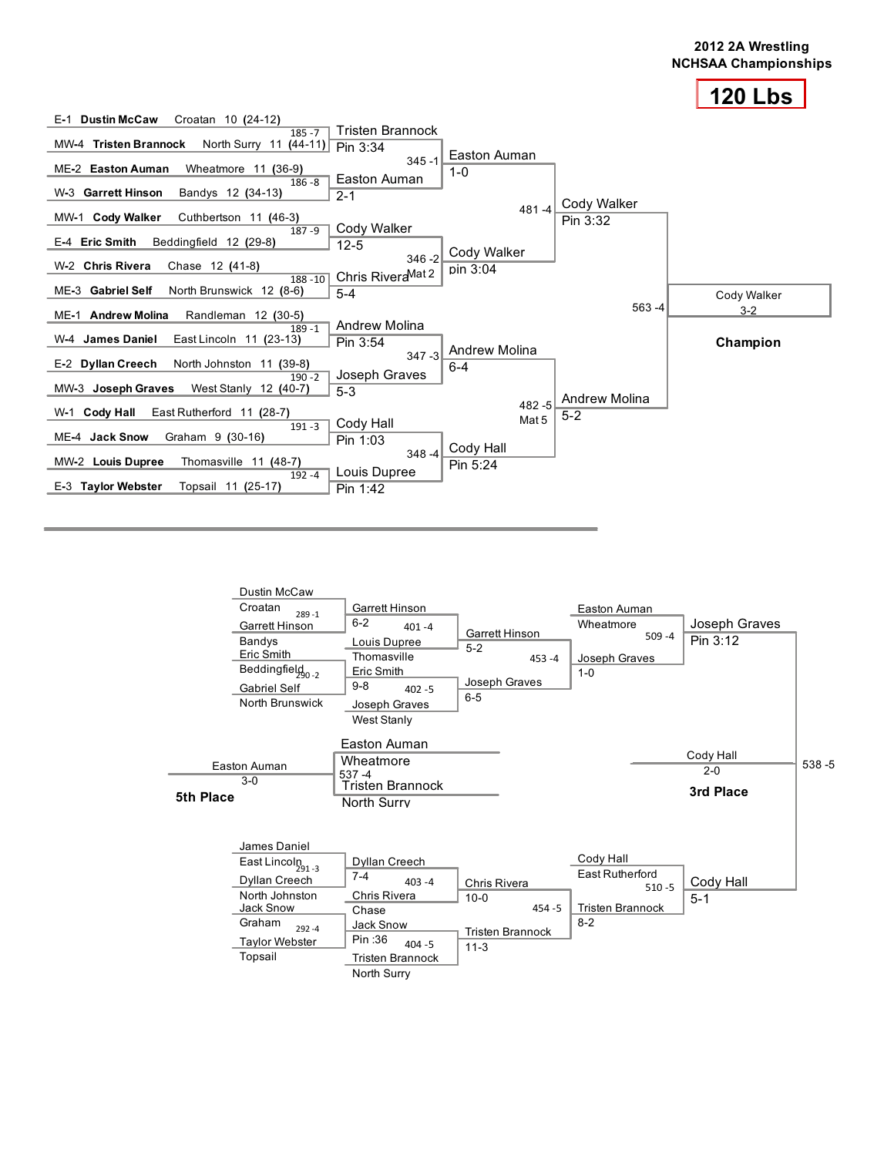



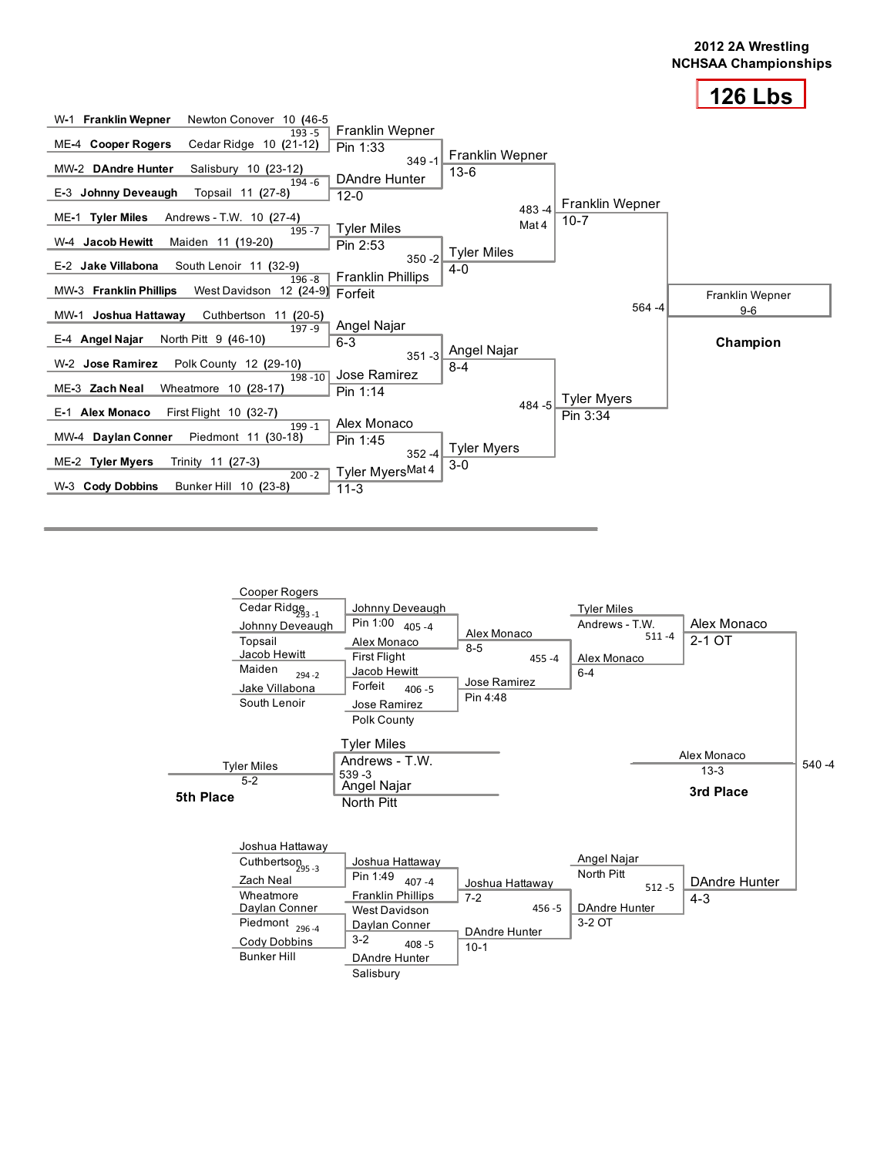



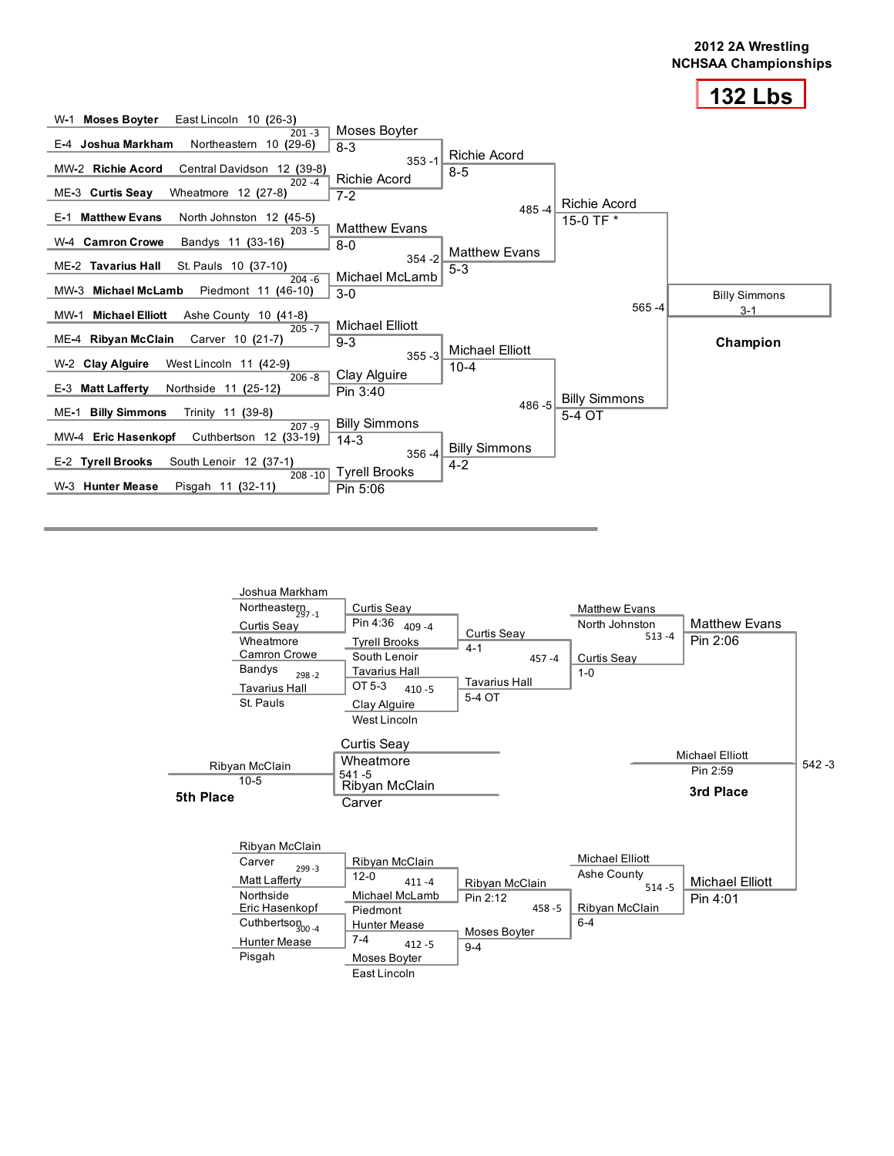



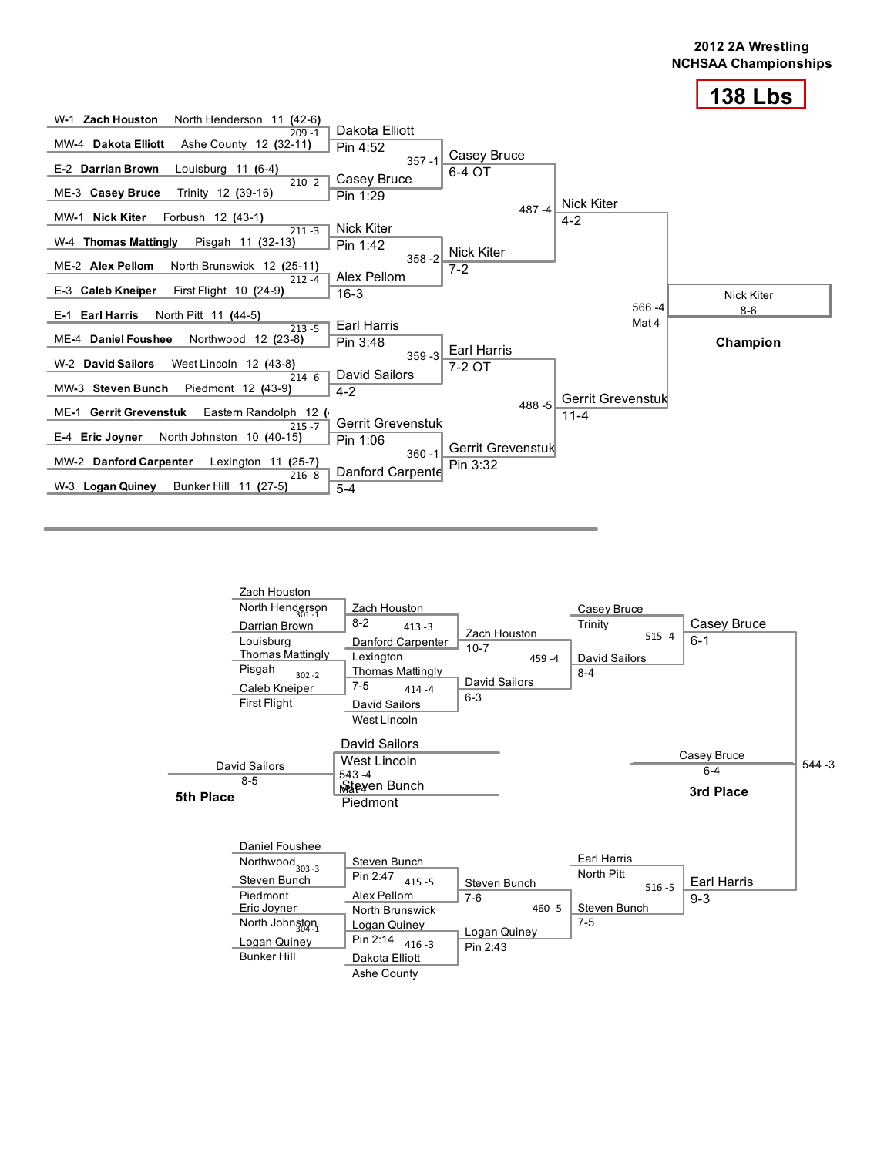



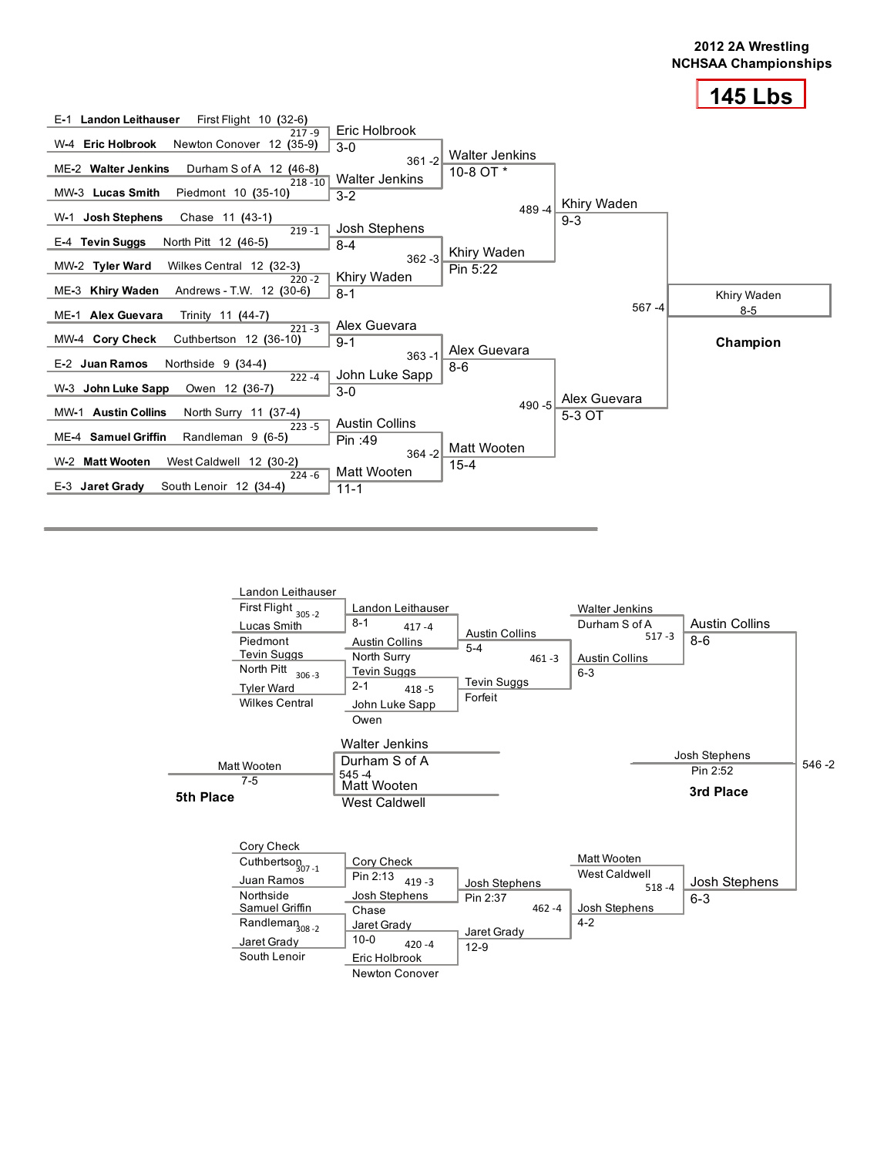



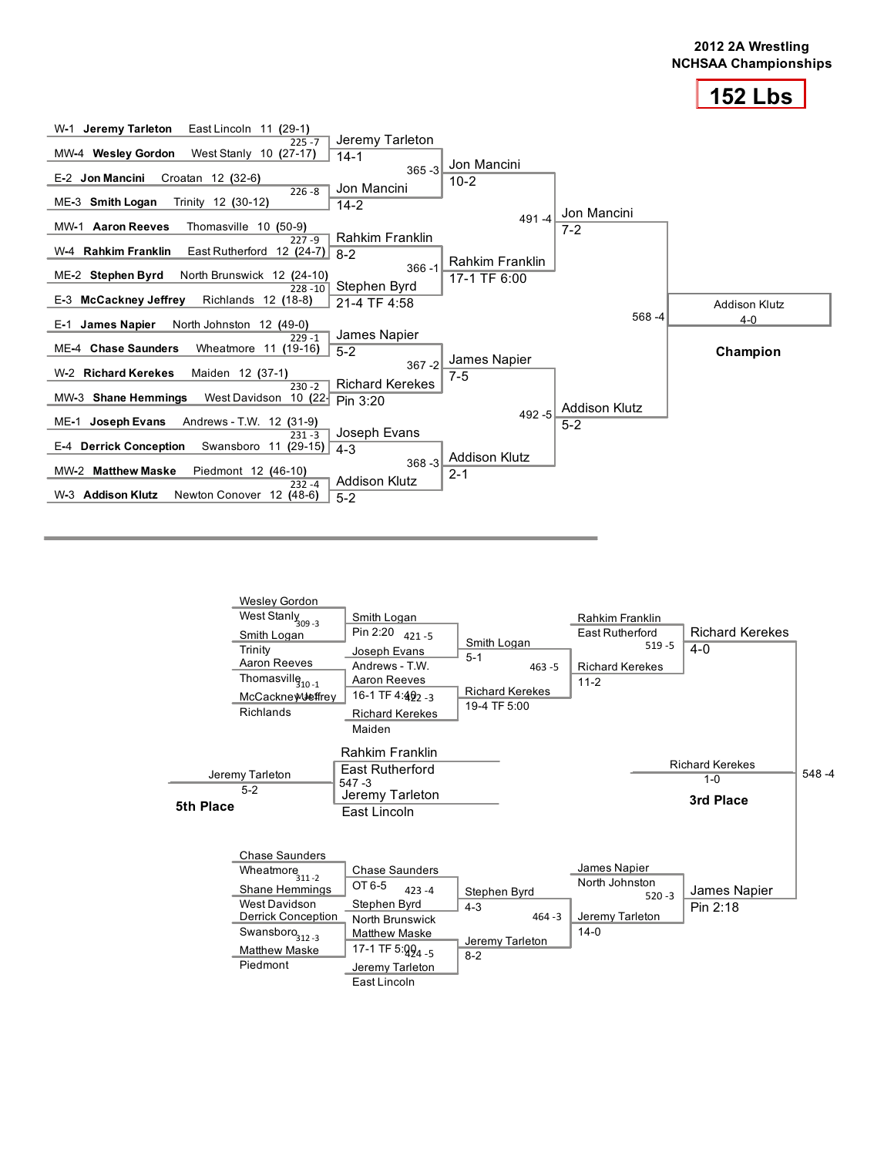





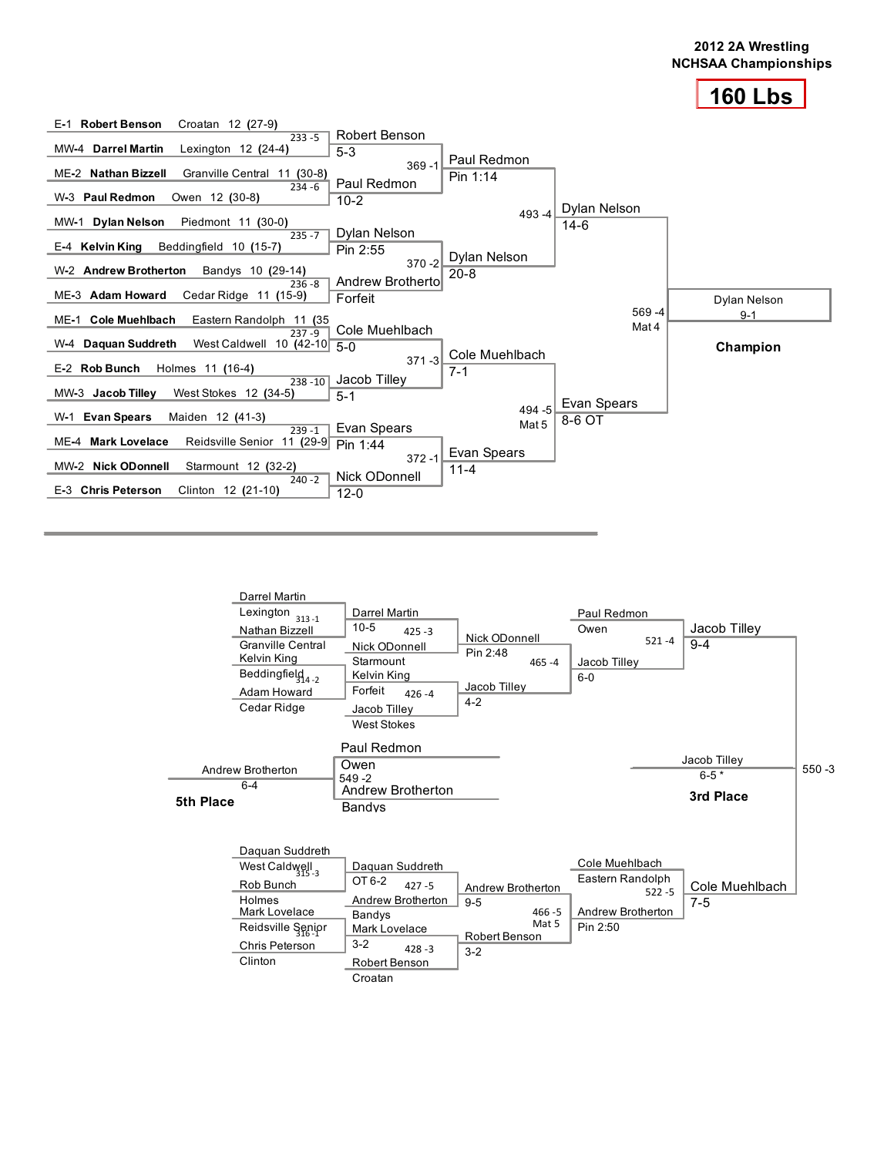



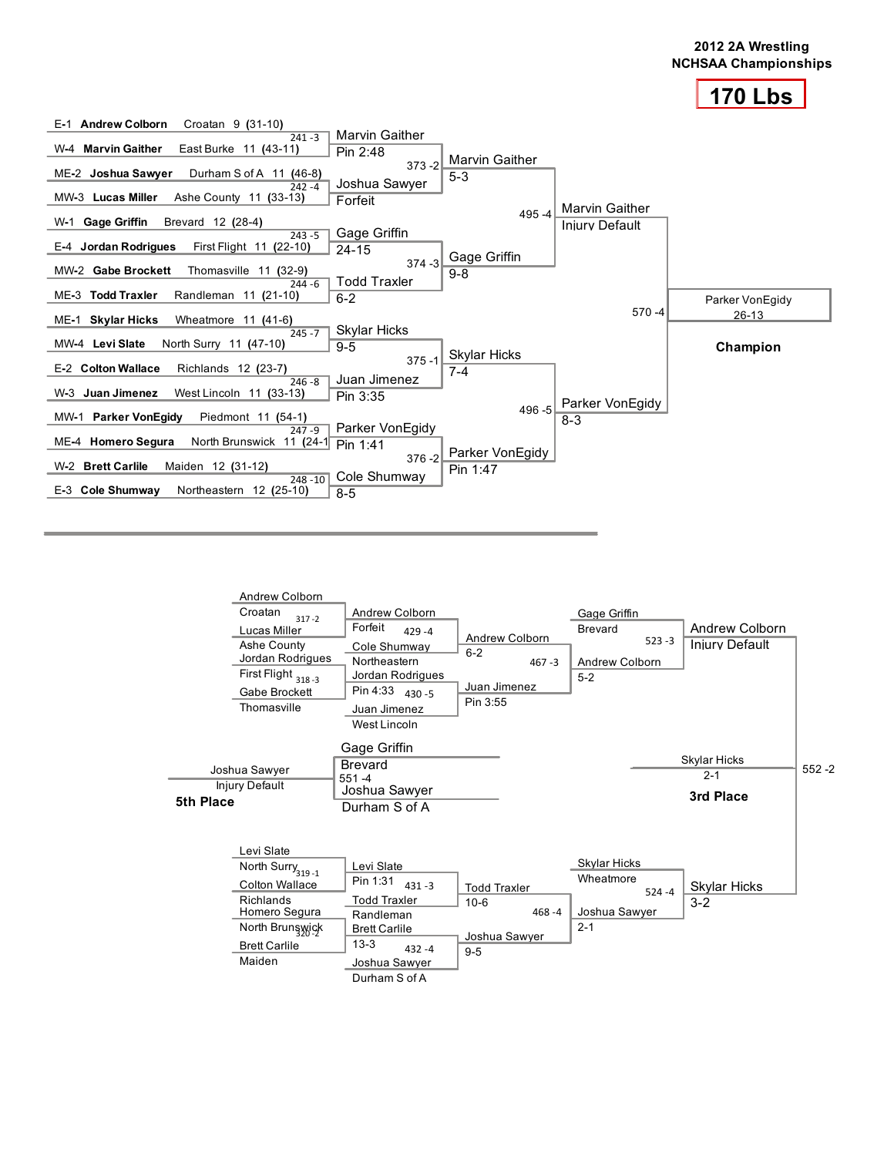



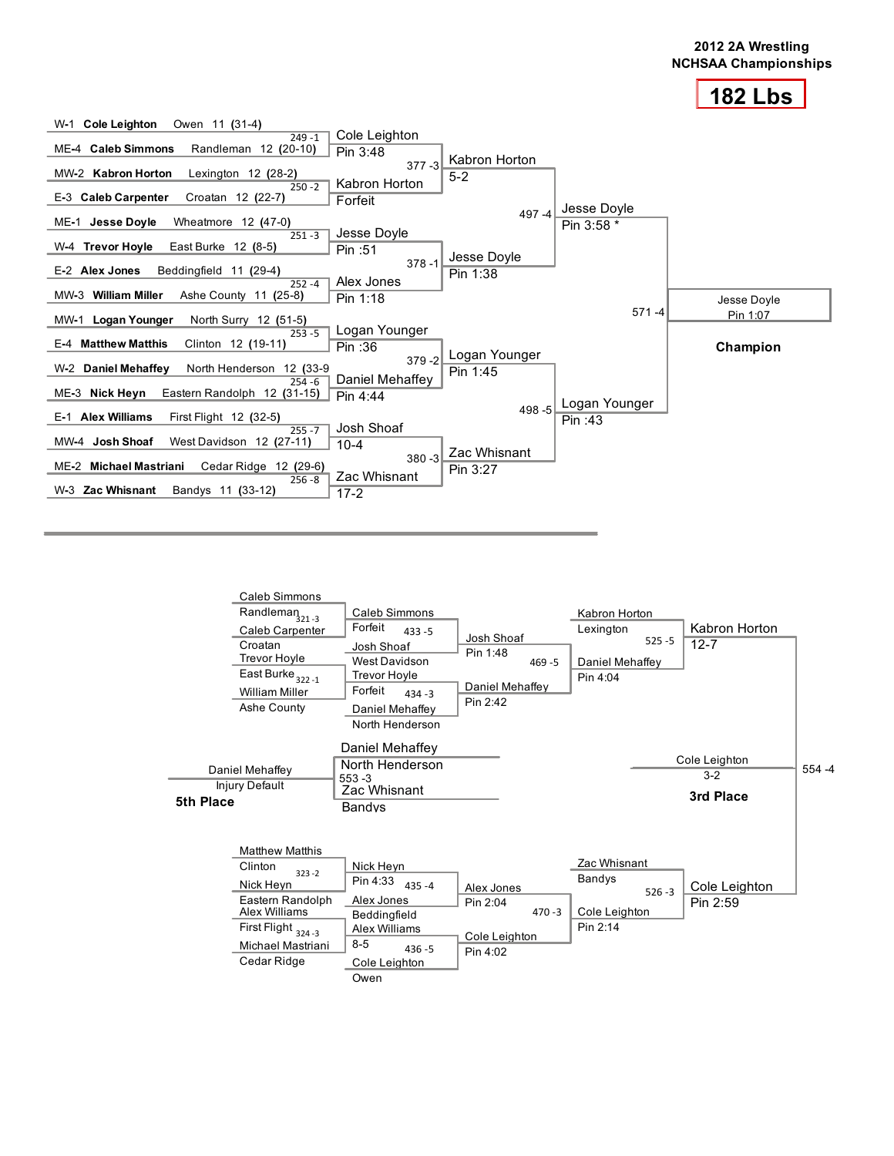



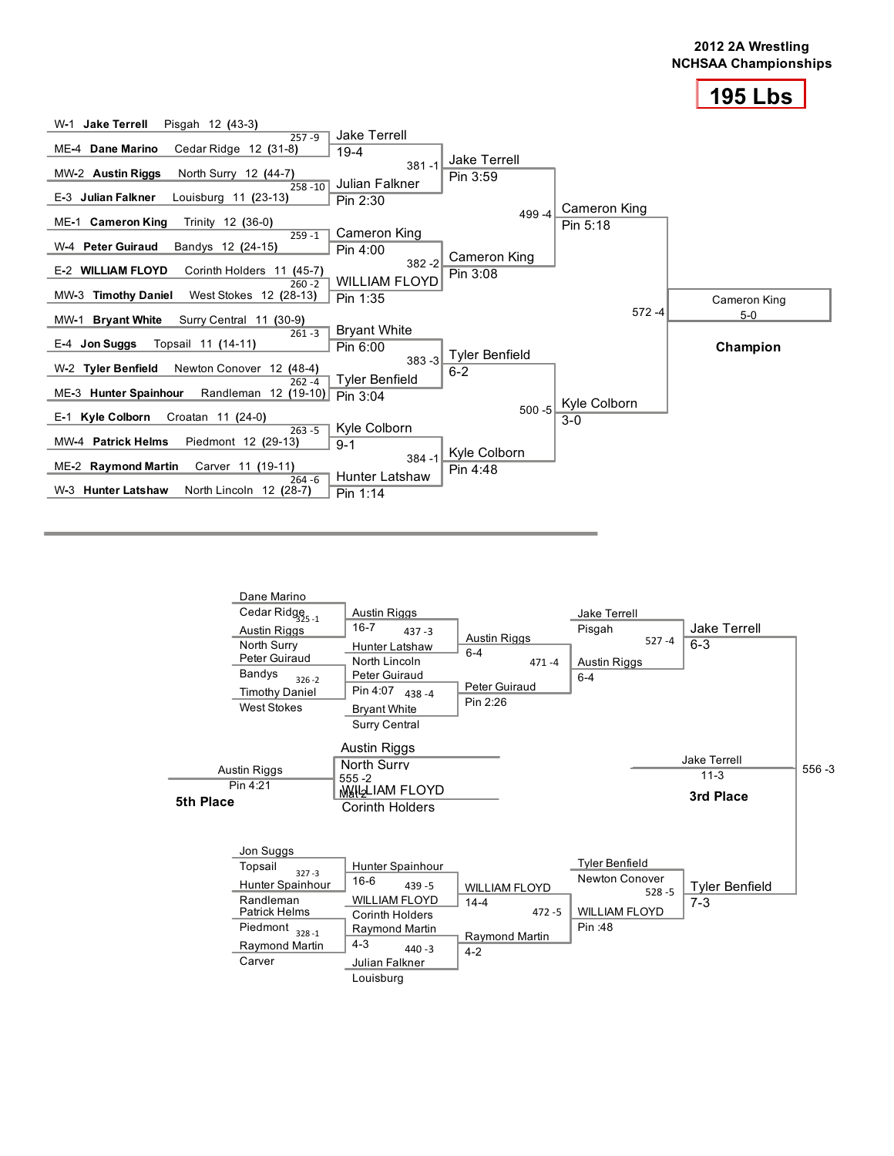



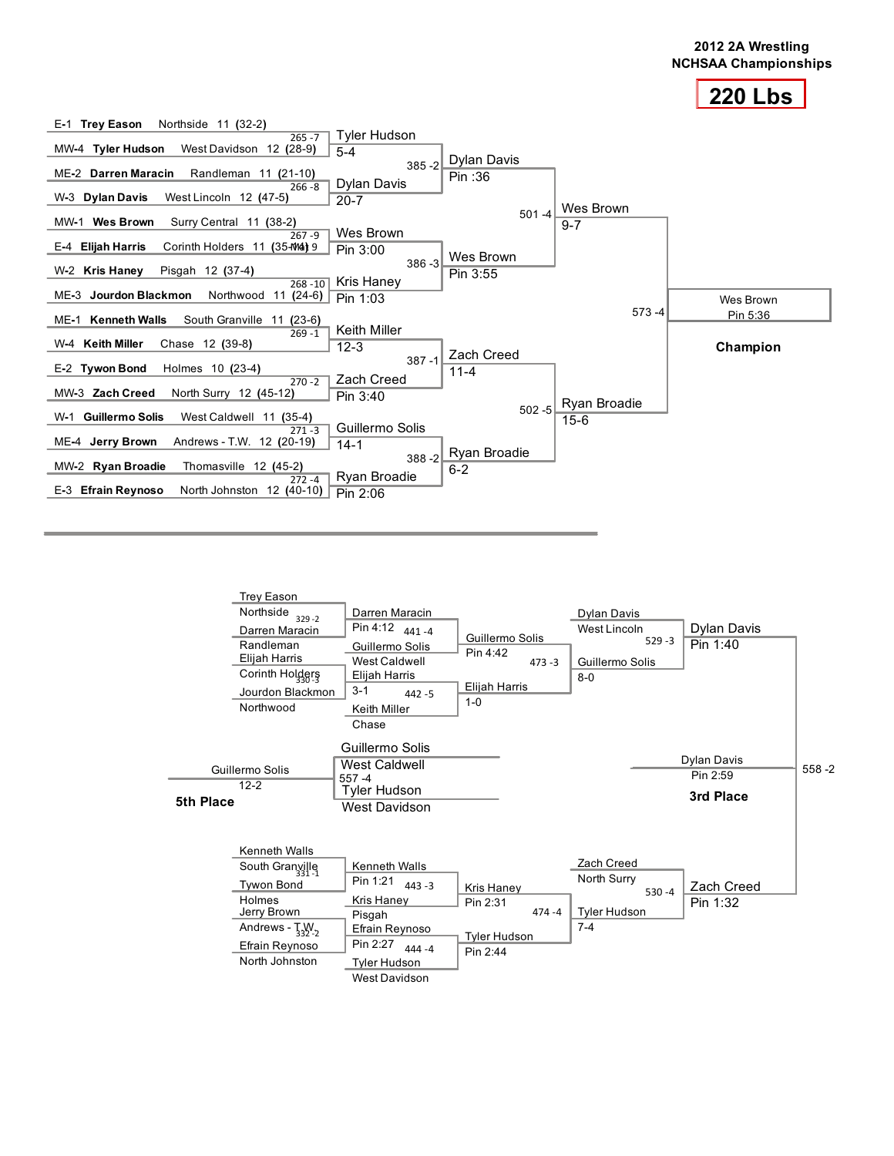